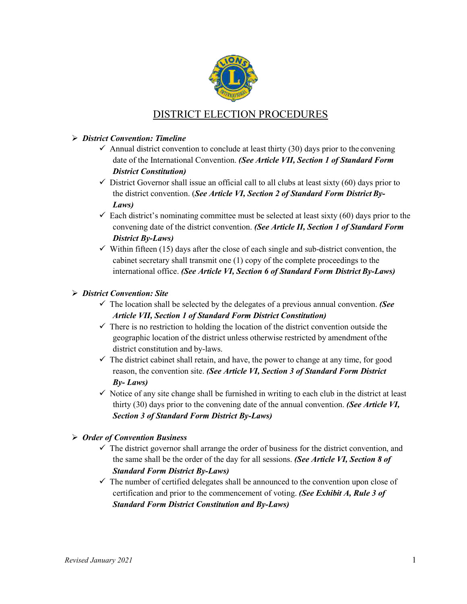

# DISTRICT ELECTION PROCEDURES

# *District Convention: Timeline*

- $\checkmark$  Annual district convention to conclude at least thirty (30) days prior to the convening date of the International Convention. *(See Article VII, Section 1 of Standard Form District Constitution)*
- $\checkmark$  District Governor shall issue an official call to all clubs at least sixty (60) days prior to the district convention. (*See Article VI, Section 2 of Standard Form District By-Laws)*
- $\checkmark$  Each district's nominating committee must be selected at least sixty (60) days prior to the convening date of the district convention. *(See Article II, Section 1 of Standard Form District By-Laws)*
- $\checkmark$  Within fifteen (15) days after the close of each single and sub-district convention, the cabinet secretary shall transmit one (1) copy of the complete proceedings to the international office. *(See Article VI, Section 6 of Standard Form District By-Laws)*

## *District Convention: Site*

- $\checkmark$  The location shall be selected by the delegates of a previous annual convention. *(See Article VII, Section 1 of Standard Form District Constitution)*
- $\checkmark$  There is no restriction to holding the location of the district convention outside the geographic location of the district unless otherwise restricted by amendment ofthe district constitution and by-laws.
- $\checkmark$  The district cabinet shall retain, and have, the power to change at any time, for good reason, the convention site. *(See Article VI, Section 3 of Standard Form District By- Laws)*
- $\checkmark$  Notice of any site change shall be furnished in writing to each club in the district at least thirty (30) days prior to the convening date of the annual convention. *(See Article VI, Section 3 of Standard Form District By-Laws)*

# *Order of Convention Business*

- $\checkmark$  The district governor shall arrange the order of business for the district convention, and the same shall be the order of the day for all sessions. *(See Article VI, Section 8 of Standard Form District By-Laws)*
- $\checkmark$  The number of certified delegates shall be announced to the convention upon close of certification and prior to the commencement of voting. *(See Exhibit A, Rule 3 of Standard Form District Constitution and By-Laws)*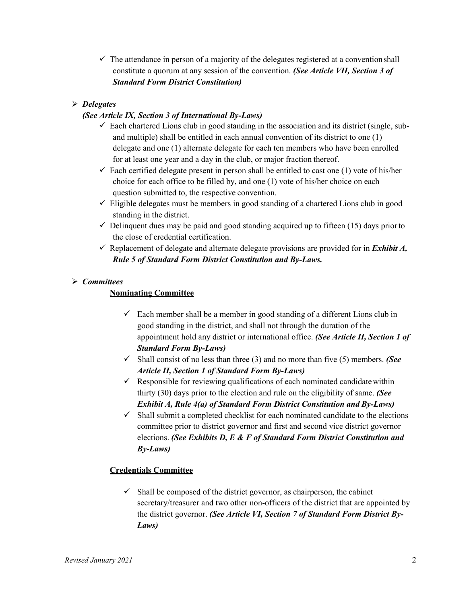$\checkmark$  The attendance in person of a majority of the delegates registered at a convention shall constitute a quorum at any session of the convention. *(See Article VII, Section 3 of Standard Form District Constitution)*

# *Delegates*

## *(See Article IX, Section 3 of International By-Laws)*

- $\checkmark$  Each chartered Lions club in good standing in the association and its district (single, suband multiple) shall be entitled in each annual convention of its district to one (1) delegate and one (1) alternate delegate for each ten members who have been enrolled for at least one year and a day in the club, or major fraction thereof.
- $\checkmark$  Each certified delegate present in person shall be entitled to cast one (1) vote of his/her choice for each office to be filled by, and one (1) vote of his/her choice on each question submitted to, the respective convention.
- $\checkmark$  Eligible delegates must be members in good standing of a chartered Lions club in good standing in the district.
- $\checkmark$  Delinquent dues may be paid and good standing acquired up to fifteen (15) days prior to the close of credential certification.
- $\checkmark$  Replacement of delegate and alternate delegate provisions are provided for in *Exhibit A*, *Rule 5 of Standard Form District Constitution and By-Laws.*

#### *Committees*

## **Nominating Committee**

- $\checkmark$  Each member shall be a member in good standing of a different Lions club in good standing in the district, and shall not through the duration of the appointment hold any district or international office. *(See Article II, Section 1 of Standard Form By-Laws)*
- $\checkmark$  Shall consist of no less than three (3) and no more than five (5) members. *(See Article II, Section 1 of Standard Form By-Laws)*
- $\checkmark$  Responsible for reviewing qualifications of each nominated candidate within thirty (30) days prior to the election and rule on the eligibility of same. *(See Exhibit A, Rule 4(a) of Standard Form District Constitution and By-Laws)*
- $\checkmark$  Shall submit a completed checklist for each nominated candidate to the elections committee prior to district governor and first and second vice district governor elections. *(See Exhibits D, E & F of Standard Form District Constitution and By-Laws)*

#### **Credentials Committee**

 $\checkmark$  Shall be composed of the district governor, as chairperson, the cabinet secretary/treasurer and two other non-officers of the district that are appointed by the district governor. *(See Article VI, Section 7 of Standard Form District By-Laws)*